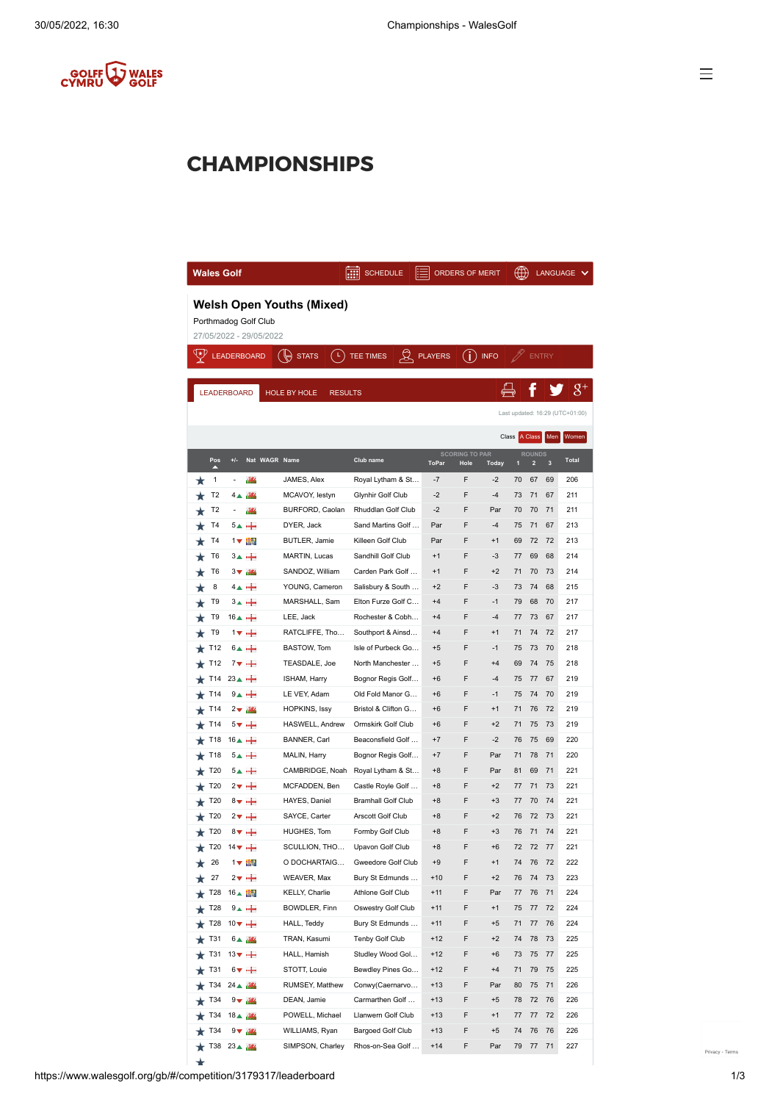

## **CHAMPIONSHIPS**

| <b>Wales Golf</b>                                                                   |                                                                                         |                               |                    |                  | <b>SCHEDULE</b>             |  |                | <b>ORDERS OF MERIT</b>        |              | ₩.           |                                          | LANGUAGE |                            |
|-------------------------------------------------------------------------------------|-----------------------------------------------------------------------------------------|-------------------------------|--------------------|------------------|-----------------------------|--|----------------|-------------------------------|--------------|--------------|------------------------------------------|----------|----------------------------|
| <b>Welsh Open Youths (Mixed)</b><br>Porthmadog Golf Club<br>27/05/2022 - 29/05/2022 |                                                                                         |                               |                    |                  |                             |  |                |                               |              |              |                                          |          |                            |
|                                                                                     |                                                                                         |                               |                    | ( ⊾)             |                             |  |                |                               |              |              |                                          |          |                            |
| Ψ                                                                                   |                                                                                         |                               | <b>LEADERBOARD</b> | <b>STATS</b>     | $\beta$<br><b>TEE TIMES</b> |  | <b>PLAYERS</b> | (i)                           | <b>INFO</b>  |              | <b>ENTRY</b>                             |          |                            |
|                                                                                     |                                                                                         |                               |                    |                  |                             |  |                |                               |              |              |                                          |          | $8^{\scriptscriptstyle +}$ |
|                                                                                     | <b>LEADERBOARD</b><br>HOLE BY HOLE<br><b>RESULTS</b><br>Last updated: 16:29 (UTC+01:00) |                               |                    |                  |                             |  |                |                               |              |              |                                          |          |                            |
|                                                                                     |                                                                                         |                               |                    |                  |                             |  |                |                               |              |              |                                          |          |                            |
|                                                                                     |                                                                                         |                               |                    |                  |                             |  |                |                               | Class        |              | A Class                                  | Men      | Women                      |
|                                                                                     | Pos                                                                                     | $+/-$                         | Nat WAGR Name      |                  | Club name                   |  | <b>ToPar</b>   | <b>SCORING TO PAR</b><br>Hole | <b>Today</b> | $\mathbf{1}$ | <b>ROUNDS</b><br>$\overline{\mathbf{c}}$ | 3        | <b>Total</b>               |
|                                                                                     | 1                                                                                       |                               | 989                | JAMES, Alex      | Royal Lytham & St           |  | $-7$           | F                             | $-2$         | 70           | 67                                       | 69       | 206                        |
|                                                                                     | T <sub>2</sub>                                                                          | 4 ▲                           | 989                | MCAVOY, lestyn   | Glynhir Golf Club           |  | $-2$           | F                             | -4           | 73           | 71                                       | 67       | 211                        |
|                                                                                     | T <sub>2</sub>                                                                          |                               | 989                | BURFORD, Caolan  | Rhuddlan Golf Club          |  | $-2$           | F                             | Par          | 70           | 70                                       | 71       | 211                        |
|                                                                                     | T4                                                                                      |                               | $5 + +$            | DYER, Jack       | Sand Martins Golf           |  | Par            | F                             | $-4$         | 75           | 71                                       | 67       | 213                        |
|                                                                                     | T4                                                                                      |                               | 1 文 富る             | BUTLER, Jamie    | Killeen Golf Club           |  | Par            | F                             | $+1$         | 69           | 72                                       | 72       | 213                        |
|                                                                                     | T6                                                                                      |                               | $3+$ $+$           | MARTIN, Lucas    | Sandhill Golf Club          |  | $+1$           | F                             | $-3$         | 77           | 69                                       | 68       | 214                        |
|                                                                                     | T6                                                                                      | $3\blacktriangledown$         | 969                | SANDOZ, William  | Carden Park Golf            |  | $+1$           | F                             | $+2$         | 71           | 70                                       | 73       | 214                        |
|                                                                                     | 8                                                                                       |                               |                    | YOUNG, Cameron   | Salisbury & South           |  | $+2$           | F                             | -3           | 73           | 74                                       | 68       | 215                        |
|                                                                                     | T9                                                                                      |                               | $34 +$             | MARSHALL, Sam    | Elton Furze Golf C          |  | $+4$           | F                             | $-1$         | 79           | 68                                       | 70       | 217                        |
|                                                                                     | T9                                                                                      | $16$ $\rightarrow$            |                    | LEE, Jack        | Rochester & Cobh            |  | $+4$           | F                             | $-4$         | 77           | 73                                       | 67       | 217                        |
|                                                                                     | T9                                                                                      |                               | $1 + +$            | RATCLIFFE, Tho   | Southport & Ainsd           |  | $+4$           | F                             | $+1$         | 71           | 74                                       | 72       | 217                        |
|                                                                                     | T <sub>12</sub>                                                                         |                               | $6 - +$            | BASTOW, Tom      | Isle of Purbeck Go          |  | $+5$           | F                             | -1           | 75           | 73                                       | 70       | 218                        |
|                                                                                     | T <sub>12</sub>                                                                         |                               | $7\bullet +$       | TEASDALE, Joe    | North Manchester            |  | $+5$           | F                             | $+4$         | 69           | 74                                       | 75       | 218                        |
|                                                                                     | T14                                                                                     | $23 \triangle +$              |                    | ISHAM, Harry     | Bognor Regis Golf           |  | $+6$           | F                             | $-4$         | 75           | 77                                       | 67       | 219                        |
|                                                                                     | T14                                                                                     |                               | $9. +$             | LE VEY, Adam     | Old Fold Manor G            |  | $+6$           | F                             | $-1$         | 75           | 74                                       | 70       | 219                        |
|                                                                                     | T14                                                                                     |                               | $2 \vee$ $18$      | HOPKINS, Issy    | Bristol & Clifton G         |  | $+6$           | F                             | $+1$         | 71           | 76                                       | 72       | 219                        |
|                                                                                     | T14                                                                                     |                               | 5▼ 十               | HASWELL, Andrew  | Ormskirk Golf Club          |  | $+6$           | F                             | $+2$         | 71           | 75                                       | 73       | 219                        |
|                                                                                     | T18                                                                                     | $16$ $\triangle$ +            |                    | BANNER, Carl     | Beaconsfield Golf           |  | $+7$           | F                             | $-2$         | 76           | 75                                       | 69       | 220                        |
|                                                                                     | T18                                                                                     |                               | $5 - +$            | MALIN, Harry     | Bognor Regis Golf           |  | $+7$           | F                             | Par          | 71           | 78                                       | 71       | 220                        |
|                                                                                     | T20                                                                                     |                               | 5▲ 十               | CAMBRIDGE, Noah  | Royal Lytham & St           |  | $+8$           | F                             | Par          | 81           | 69                                       | 71       | 221                        |
|                                                                                     | T20                                                                                     |                               | $2\bm{v} +$        | MCFADDEN, Ben    | Castle Royle Golf           |  | $+8$           | F                             | $+2$         | 77           | 71                                       | 73       | 221                        |
|                                                                                     | T20                                                                                     |                               | $8\bm{v} +$        | HAYES, Daniel    | <b>Bramhall Golf Club</b>   |  | $+8$           | F                             | $+3$         | 77           | 70                                       | 74       | 221                        |
|                                                                                     | T20                                                                                     |                               | $2\sqrt{ }$ +      | SAYCE, Carter    | Arscott Golf Club           |  | $+8$           | F                             | $+2$         | 76           | 72                                       | 73       | 221                        |
|                                                                                     | T20                                                                                     |                               | $8\bm{v} +$        | HUGHES, Tom      | Formby Golf Club            |  | $+8$           | F                             | $+3$         | 76           | 71                                       | 74       | 221                        |
|                                                                                     |                                                                                         | T20 $14 \blacktriangledown +$ |                    | SCULLION, THO    | Upavon Golf Club            |  | $+8$           | F                             | +6           | 72           | 72                                       | 77       | 221                        |
|                                                                                     | 26                                                                                      |                               | 17 書               | O DOCHARTAIG     | Gweedore Golf Club          |  | $+9$           | F                             | $+1$         | 74           | 76                                       | 72       | 222                        |
|                                                                                     | 27                                                                                      | 2▼                            | ÷                  | WEAVER, Max      | Bury St Edmunds             |  | $+10$          | F                             | $+2$         | 76           | 74                                       | 73       | 223                        |
|                                                                                     | T28                                                                                     | $16 \triangle$                |                    | KELLY, Charlie   | Athlone Golf Club           |  | $+11$          | F                             | Par          | 77           | 76                                       | 71       | 224                        |
|                                                                                     | T28                                                                                     |                               | $9$ a $+$          | BOWDLER, Finn    | Oswestry Golf Club          |  | $+11$          | F                             | $+1$         | 75           | 77                                       | 72       | 224                        |
|                                                                                     | T28                                                                                     | $10 \times +$                 |                    | HALL, Teddy      | Bury St Edmunds             |  | $+11$          | F                             | $+5$         | 71           | 77                                       | 76       | 224                        |
|                                                                                     | T31                                                                                     | 6 ▲                           | 989                | TRAN, Kasumi     | Tenby Golf Club             |  | $+12$          | F                             | $+2$         | 74           | 78                                       | 73       | 225                        |
|                                                                                     | T31                                                                                     | $13 \vee +$                   |                    | HALL, Hamish     | Studley Wood Gol            |  | $+12$          | F                             | $+6$         | 73           | 75                                       | 77       | 225                        |
|                                                                                     | T31                                                                                     |                               | $6\bm{v} +$        | STOTT, Louie     | Bewdley Pines Go            |  | $+12$          | F                             | $+4$         | 71           | 79                                       | 75       | 225                        |
|                                                                                     | T34                                                                                     | $24 \triangle$                |                    | RUMSEY, Matthew  | Conwy(Caernarvo             |  | $+13$          | F                             | Par          | 80           | 75                                       | 71       | 226                        |
|                                                                                     | T34                                                                                     | 9▼                            |                    | DEAN, Jamie      | Carmarthen Golf             |  | $+13$          | F                             | $+5$         | 78           | 72                                       | 76       | 226                        |
|                                                                                     | T34                                                                                     | $18 \triangle$                | 989                | POWELL, Michael  | Llanwern Golf Club          |  | $+13$          | F                             | $+1$         | 77           | 77                                       | 72       | 226                        |
|                                                                                     | T34                                                                                     | 9▼                            | 989                | WILLIAMS, Ryan   | Bargoed Golf Club           |  | $+13$          | F                             | $+5$         | 74           | 76                                       | 76       | 226                        |
|                                                                                     |                                                                                         | T38 23 ▲                      | 989                | SIMPSON, Charley | Rhos-on-Sea Golf            |  | $+14$          | F                             | Par          | 79           | 77                                       | 71       | 227                        |
|                                                                                     |                                                                                         |                               |                    |                  |                             |  |                |                               |              |              |                                          |          |                            |

[Privacy](https://www.google.com/intl/en/policies/privacy/) - [Terms](https://www.google.com/intl/en/policies/terms/)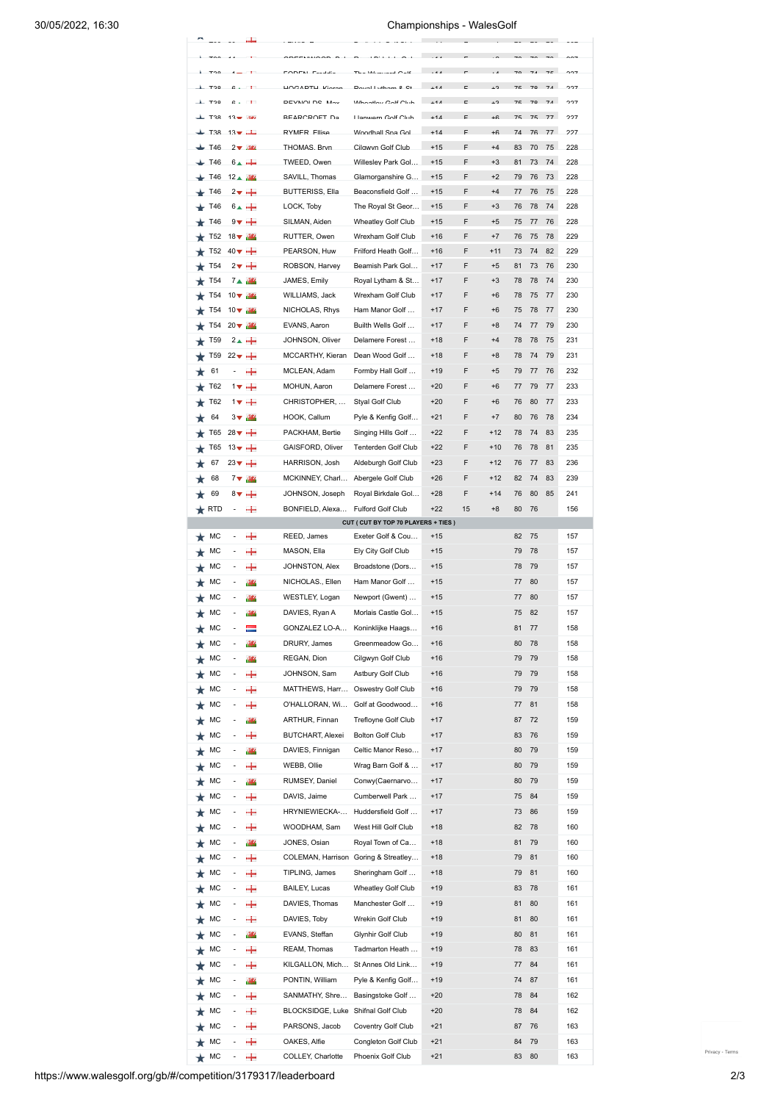|                     |                 |                         |              |                                    | $-1$                                 |                  |              |                          |                |                | $\mathbf{L} = \mathbf{L} \mathbf{L}$ |     |
|---------------------|-----------------|-------------------------|--------------|------------------------------------|--------------------------------------|------------------|--------------|--------------------------|----------------|----------------|--------------------------------------|-----|
|                     |                 |                         |              |                                    | $\overline{\phantom{a}}$<br>$\sim$   |                  |              |                          |                | $\rightarrow$  | $\sim$                               |     |
|                     |                 |                         |              | $1000$ $\text{OPT}$                | $$ $$                                | $\overline{a}$   |              |                          |                | $\overline{z}$ | 74                                   |     |
| $\perp$ Too         |                 | $\sim$                  | $\mathbf{L}$ | DEVAIOLDO MAY                      | Wheeley Celt Club                    | $\overline{111}$ |              | $\overline{\phantom{a}}$ | 7 <sub>E</sub> | 70             | 74                                   | 227 |
| $+$ T <sub>28</sub> |                 | $12 - 34$               |              | <b>PEARCROET De</b>                | Llanwern Colf Club                   | $+11$            | $\mathbf{r}$ | $+6$                     | 75             | 75             | 77                                   | 227 |
|                     | <b>T3R</b>      | $13 - 1$                |              | RYMER Filice                       | Woodhall Sna Gol                     | $+14$            | E            | $+6$                     | 74             | 76             | 77                                   | 227 |
|                     |                 |                         |              |                                    |                                      |                  |              |                          |                |                |                                      |     |
|                     | <b>T46</b>      | $2 - \frac{3\pi i}{2}$  |              | THOMAS Rrvn                        | Cilawyn Golf Club                    | $+15$            | F            | $+4$                     | R3             | 70             | 75                                   | 228 |
|                     | T46             | $6 - +$                 |              | TWEED. Owen.                       | Willeslev Park Gol.                  | $+15$            | F            | $+3$                     | 81             | 73             | 74                                   | 228 |
|                     | T46             | 12▲ 44                  |              | SAVILL. Thomas                     | Glamorganshire G                     | $+15$            | F            | $+2$                     | 79             | 76             | 73                                   | 228 |
|                     | T46             | $2\mathbf{v} +$         |              | <b>BUTTERISS, Ella</b>             | Beaconsfield Golf                    | $+15$            | F            | $+4$                     | 77             | 76             | 75                                   | 228 |
|                     | T46             | $6 - +$                 |              | LOCK, Toby                         | The Royal St Geor                    | $+15$            | F            | $+3$                     | 76             | 78             | 74                                   | 228 |
|                     | T46             | 9▼ 十                    |              | SILMAN, Aiden                      | Wheatley Golf Club                   | $+15$            | F            | $+5$                     | 75             | 77             | 76                                   | 228 |
|                     | T <sub>52</sub> | $18 \blacktriangledown$ | 36           | RUTTER, Owen                       | Wrexham Golf Club                    | $+16$            | F            | $+7$                     | 76             | 75             | 78                                   | 229 |
|                     | T52             | $40\blacktriangledown$  | ÷            | PEARSON, Huw                       | Frilford Heath Golf                  | $+16$            | F            | $+11$                    | 73             | 74             | 82                                   | 229 |
|                     | T <sub>54</sub> | $2\pi$                  | ÷            | ROBSON, Harvey                     | Beamish Park Gol                     | $+17$            | F            | $+5$                     | 81             | 73             | 76                                   | 230 |
|                     | T <sub>54</sub> | 7▲                      | 989          | JAMES, Emily                       | Royal Lytham & St                    | $+17$            | F            | $+3$                     | 78             | 78             | 74                                   | 230 |
|                     |                 |                         |              |                                    |                                      |                  |              |                          |                |                |                                      |     |
|                     | T <sub>54</sub> | $10 \blacktriangledown$ | 989          | WILLIAMS, Jack                     | Wrexham Golf Club                    | $+17$            | F            | $+6$                     | 78             | 75             | 77                                   | 230 |
|                     | T54             | 10 $\blacktriangledown$ | 989          | NICHOLAS, Rhys                     | Ham Manor Golf                       | $+17$            | F            | $+6$                     | 75             | 78             | 77                                   | 230 |
|                     | T <sub>54</sub> | $20 \blacktriangledown$ | 989          | EVANS, Aaron                       | Builth Wells Golf                    | $+17$            | F            | $+8$                     | 74             | 77             | 79                                   | 230 |
|                     | T <sub>59</sub> | $2 + +$                 |              | JOHNSON, Oliver                    | Delamere Forest                      | $+18$            | F            | $+4$                     | 78             | 78             | 75                                   | 231 |
|                     | T <sub>59</sub> | $22 + +$                |              | MCCARTHY, Kieran                   | Dean Wood Golf                       | $+18$            | F            | $+8$                     | 78             | 74             | 79                                   | 231 |
|                     | 61              |                         | ÷            | MCLEAN, Adam                       | Formby Hall Golf                     | $+19$            | F            | $+5$                     | 79             | 77             | 76                                   | 232 |
|                     | T62             | 1▼                      | ÷            | MOHUN, Aaron                       | Delamere Forest                      | $+20$            | F            | $+6$                     | 77             | 79             | 77                                   | 233 |
|                     | T62             |                         | $1 + +$      | CHRISTOPHER,                       | Styal Golf Club                      | $+20$            | F            | $+6$                     | 76             | 80             | 77                                   | 233 |
|                     |                 |                         |              |                                    |                                      |                  |              |                          |                |                |                                      |     |
|                     | 64              | $3\blacktriangledown$   | 98           | HOOK, Callum                       | Pyle & Kenfig Golf                   | $+21$            | F            | $+7$                     | 80             | 76             | 78                                   | 234 |
|                     | T65             | $28 + +$                |              | PACKHAM, Bertie                    | Singing Hills Golf                   | $+22$            | F            | $+12$                    | 78             | 74             | 83                                   | 235 |
|                     | T65             | $13 \times +$           |              | GAISFORD, Oliver                   | Tenterden Golf Club                  | $+22$            | F            | $+10$                    | 76             | 78             | 81                                   | 235 |
|                     | 67              | $23 \vee +$             |              | HARRISON, Josh                     | Aldeburgh Golf Club                  | $+23$            | F            | $+12$                    | 76             | 77             | 83                                   | 236 |
|                     | 68              | 7▼                      | 989          | MCKINNEY, Charl                    | Abergele Golf Club                   | $+26$            | F            | $+12$                    | 82             | 74             | 83                                   | 239 |
|                     | 69              | $8\sqrt{ }$             | ÷            | JOHNSON, Joseph                    | Royal Birkdale Gol                   | $+28$            | F            | $+14$                    | 76             | 80             | 85                                   | 241 |
| $\bigstar$ RTD      |                 |                         | +            | BONFIELD, Alexa                    | Fulford Golf Club                    | $+22$            | 15           | $+8$                     | 80             | 76             |                                      | 156 |
|                     |                 |                         |              |                                    | CUT ( CUT BY TOP 70 PLAYERS + TIES ) |                  |              |                          |                |                |                                      |     |
|                     | МC              | $\overline{a}$          | ÷            | REED, James                        | Exeter Golf & Cou                    | $+15$            |              |                          | 82             | 75             |                                      | 157 |
|                     | мс              |                         |              |                                    |                                      |                  |              |                          |                |                |                                      |     |
|                     |                 |                         |              |                                    |                                      |                  |              |                          |                |                |                                      |     |
|                     |                 |                         | ÷            | MASON, Ella                        | Ely City Golf Club                   | $+15$            |              |                          | 79             | 78             |                                      | 157 |
|                     | МC              |                         | ÷            | JOHNSTON, Alex                     | Broadstone (Dors                     | $+15$            |              |                          | 78             | 79             |                                      | 157 |
|                     | МC              |                         | 98           | NICHOLAS., Ellen                   | Ham Manor Golf                       | $+15$            |              |                          | 77             | 80             |                                      | 157 |
|                     | мс              |                         | 弻            | WESTLEY, Logan                     | Newport (Gwent)                      | $+15$            |              |                          | 77             | 80             |                                      | 157 |
|                     | МC              |                         | 98           | DAVIES, Ryan A                     | Morlais Castle Gol                   | $+15$            |              |                          | 75             | 82             |                                      | 157 |
|                     | МC              |                         |              | GONZALEZ LO-A                      | Koninklijke Haags                    | $+16$            |              |                          | 81             | 77             |                                      | 158 |
|                     | МC              |                         | 98           | DRURY, James                       | Greenmeadow Go                       | $+16$            |              |                          | 80             | 78             |                                      | 158 |
|                     |                 |                         |              | REGAN, Dion                        | Cilgwyn Golf Club                    | $+16$            |              |                          | 79             | 79             |                                      | 158 |
|                     | МC              |                         | 98           |                                    |                                      |                  |              |                          |                |                |                                      |     |
|                     | МC              |                         | ÷            | JOHNSON, Sam                       | Astbury Golf Club                    | $+16$            |              |                          | 79             | 79             |                                      | 158 |
|                     | МC              |                         | +            | MATTHEWS, Harr                     | Oswestry Golf Club                   | $+16$            |              |                          | 79             | 79             |                                      | 158 |
|                     | МC              |                         | ÷            | O'HALLORAN, Wi                     | Golf at Goodwood                     | $+16$            |              |                          | 77             | 81             |                                      | 158 |
|                     | МC              |                         | 989          | ARTHUR, Finnan                     | Trefloyne Golf Club                  | $+17$            |              |                          | 87             | 72             |                                      | 159 |
|                     | МC              |                         | +            | <b>BUTCHART, Alexei</b>            | <b>Bolton Golf Club</b>              | $+17$            |              |                          | 83             | 76             |                                      | 159 |
|                     | МC              |                         | 989          | DAVIES, Finnigan                   | Celtic Manor Reso                    | $+17$            |              |                          | 80             | 79             |                                      | 159 |
|                     | МC              |                         | ÷            | WEBB, Ollie                        | Wrag Barn Golf &                     | $+17$            |              |                          | 80             | 79             |                                      | 159 |
|                     |                 |                         |              |                                    |                                      |                  |              |                          |                |                |                                      |     |
|                     | МC              |                         | 98           | RUMSEY, Daniel                     | Conwy(Caernarvo                      | $+17$            |              |                          | 80             | 79             |                                      | 159 |
|                     | МC              |                         | ÷            | DAVIS, Jaime                       | Cumberwell Park                      | $+17$            |              |                          | 75             | 84             |                                      | 159 |
|                     | МC              |                         | ÷            | HRYNIEWIECKA-                      | Huddersfield Golf                    | $+17$            |              |                          | 73             | 86             |                                      | 159 |
|                     | МC              |                         | ÷            | WOODHAM, Sam                       | West Hill Golf Club                  | $+18$            |              |                          | 82             | 78             |                                      | 160 |
|                     | МC              |                         | 98           | JONES, Osian                       | Royal Town of Ca                     | $+18$            |              |                          | 81             | 79             |                                      | 160 |
|                     | мс              |                         | ÷            |                                    | COLEMAN, Harrison Goring & Streatley | $+18$            |              |                          | 79             | 81             |                                      | 160 |
|                     | мс              |                         | ÷            | TIPLING, James                     | Sheringham Golf                      | $+18$            |              |                          | 79             | 81             |                                      | 160 |
|                     | МC              |                         |              | <b>BAILEY, Lucas</b>               | Wheatley Golf Club                   | $+19$            |              |                          |                | 78             |                                      |     |
|                     |                 |                         | ÷            |                                    |                                      |                  |              |                          | 83             |                |                                      | 161 |
|                     | МC              |                         | ÷            | DAVIES, Thomas                     | Manchester Golf                      | $+19$            |              |                          | 81             | 80             |                                      | 161 |
|                     | МC              |                         | ÷            | DAVIES, Toby                       | Wrekin Golf Club                     | $+19$            |              |                          | 81             | 80             |                                      | 161 |
|                     | МC              |                         | 989          | EVANS, Steffan                     | Glynhir Golf Club                    | $+19$            |              |                          | 80             | 81             |                                      | 161 |
|                     | МC              |                         | ÷            | REAM, Thomas                       | Tadmarton Heath                      | $+19$            |              |                          | 78             | 83             |                                      | 161 |
|                     | МC              |                         | ÷            | KILGALLON, Mich                    | St Annes Old Link                    | $+19$            |              |                          | 77             | 84             |                                      | 161 |
|                     |                 |                         |              |                                    |                                      |                  |              |                          |                |                |                                      |     |
|                     | МC              |                         | 989          | PONTIN, William                    | Pyle & Kenfig Golf                   | $+19$            |              |                          | 74             | 87             |                                      | 161 |
|                     | МC              |                         | ÷            | SANMATHY, Shre                     | Basingstoke Golf                     | $+20$            |              |                          | 78             | 84             |                                      | 162 |
|                     | МC              |                         | ÷            | BLOCKSIDGE, Luke Shifnal Golf Club |                                      | $+20$            |              |                          | 78             | 84             |                                      | 162 |
|                     | МC              |                         | ÷            | PARSONS, Jacob                     | Coventry Golf Club                   | $+21$            |              |                          | 87             | 76             |                                      | 163 |
|                     | МC              |                         | ÷            | OAKES, Alfie                       | Congleton Golf Club                  | $+21$            |              |                          | 84             | 79             |                                      | 163 |